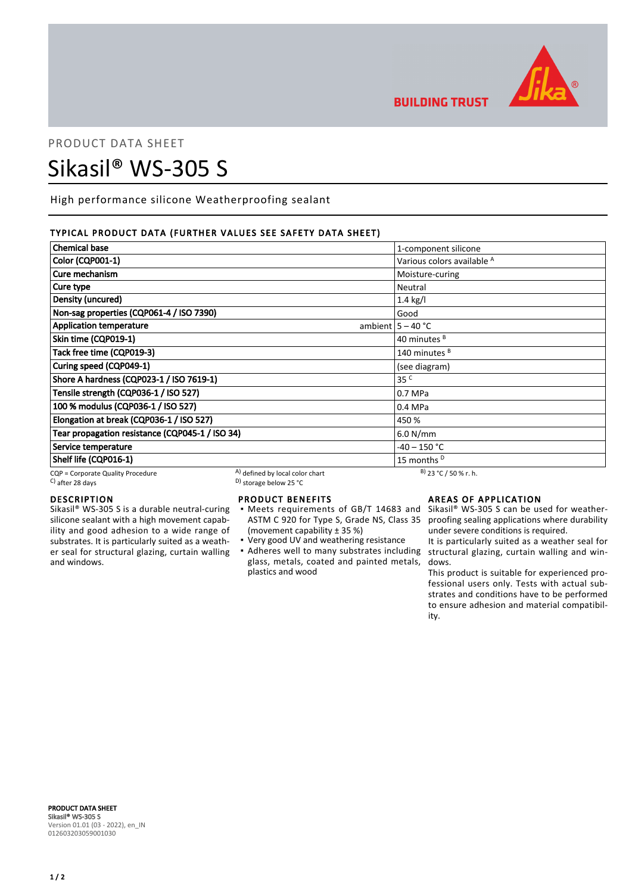

**BUILDING TRUST** 

# PRODUCT DATA SHEET Sikasil® WS-305 S

High performance silicone Weatherproofing sealant

## TYPICAL PRODUCT DATA (FURTHER VALUES SEE SAFETY DATA SHEET)

| <b>Chemical base</b>                                     |                                                                                | 1-component silicone       |
|----------------------------------------------------------|--------------------------------------------------------------------------------|----------------------------|
| Color (CQP001-1)                                         |                                                                                | Various colors available A |
| Cure mechanism                                           |                                                                                | Moisture-curing            |
| Cure type                                                |                                                                                | Neutral                    |
| Density (uncured)                                        |                                                                                | $1.4$ kg/l                 |
| Non-sag properties (CQP061-4 / ISO 7390)                 |                                                                                | Good                       |
| <b>Application temperature</b>                           |                                                                                | ambient $5 - 40$ °C        |
| Skin time (CQP019-1)                                     |                                                                                | 40 minutes <sup>B</sup>    |
| Tack free time (CQP019-3)                                |                                                                                | 140 minutes <sup>B</sup>   |
| Curing speed (CQP049-1)                                  |                                                                                | (see diagram)              |
| Shore A hardness (CQP023-1 / ISO 7619-1)                 |                                                                                | 35 <sup>c</sup>            |
| Tensile strength (CQP036-1 / ISO 527)                    |                                                                                | 0.7 MPa                    |
| 100 % modulus (CQP036-1 / ISO 527)                       |                                                                                | 0.4 MPa                    |
| Elongation at break (CQP036-1 / ISO 527)                 |                                                                                | 450 %                      |
| Tear propagation resistance (CQP045-1 / ISO 34)          |                                                                                | 6.0 N/mm                   |
| Service temperature                                      |                                                                                | $-40 - 150$ °C             |
| Shelf life (CQP016-1)                                    |                                                                                | 15 months <sup>D</sup>     |
| CQP = Corporate Quality Procedure<br>$C$ ) after 28 days | A) defined by local color chart<br><sup>D)</sup> storage below 25 $^{\circ}$ C | $B)$ 23 °C / 50 % r. h.    |

## DESCRIPTION

Sikasil® WS-305 S is a durable neutral-curing silicone sealant with a high movement capability and good adhesion to a wide range of substrates. It is particularly suited as a weather seal for structural glazing, curtain walling and windows.

# PRODUCT BENEFITS

- Meets requirements of GB/T 14683 and ASTM C 920 for Type S, Grade NS, Class 35 (movement capability ± 35 %)
- Very good UV and weathering resistance
- Adheres well to many substrates including structural glazing, curtain walling and winglass, metals, coated and painted metals, plastics and wood

## AREAS OF APPLICATION

Sikasil® WS-305 S can be used for weatherproofing sealing applications where durability under severe conditions is required.

It is particularly suited as a weather seal for dows.

This product is suitable for experienced professional users only. Tests with actual substrates and conditions have to be performed to ensure adhesion and material compatibility.

PRODUCT DATA SHEET Sikasil® WS-305 S Version 01.01 (03 - 2022), en\_IN 012603203059001030